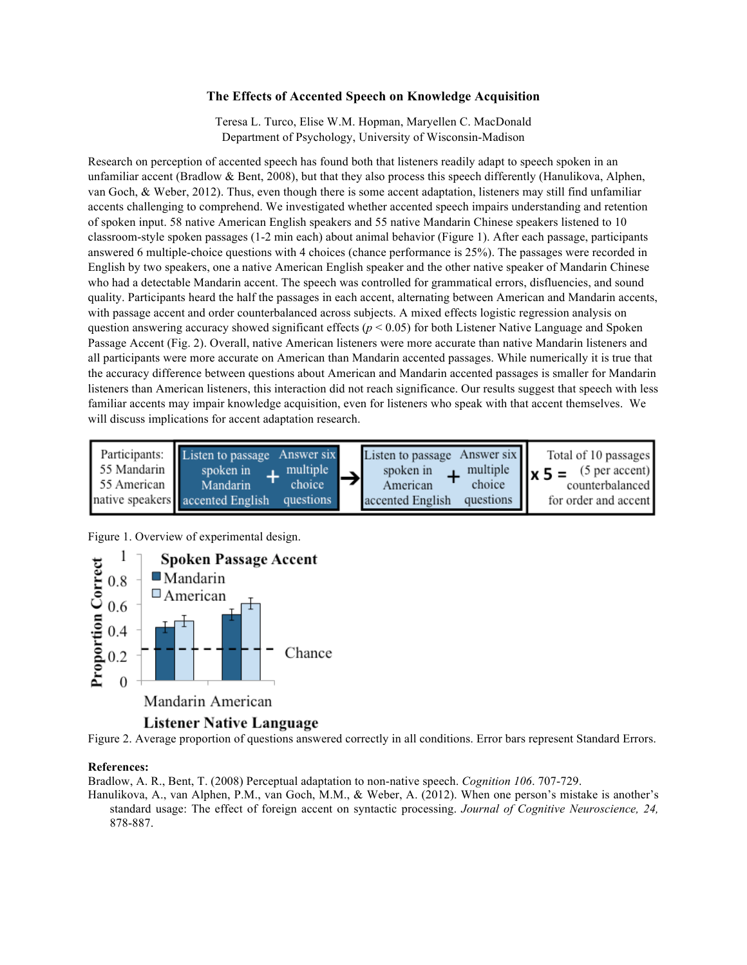## **The Effects of Accented Speech on Knowledge Acquisition**

Teresa L. Turco, Elise W.M. Hopman, Maryellen C. MacDonald Department of Psychology, University of Wisconsin-Madison

Research on perception of accented speech has found both that listeners readily adapt to speech spoken in an unfamiliar accent (Bradlow & Bent, 2008), but that they also process this speech differently (Hanulikova, Alphen, van Goch, & Weber, 2012). Thus, even though there is some accent adaptation, listeners may still find unfamiliar accents challenging to comprehend. We investigated whether accented speech impairs understanding and retention of spoken input. 58 native American English speakers and 55 native Mandarin Chinese speakers listened to 10 classroom-style spoken passages (1-2 min each) about animal behavior (Figure 1). After each passage, participants answered 6 multiple-choice questions with 4 choices (chance performance is 25%). The passages were recorded in English by two speakers, one a native American English speaker and the other native speaker of Mandarin Chinese who had a detectable Mandarin accent. The speech was controlled for grammatical errors, disfluencies, and sound quality. Participants heard the half the passages in each accent, alternating between American and Mandarin accents, with passage accent and order counterbalanced across subjects. A mixed effects logistic regression analysis on question answering accuracy showed significant effects ( $p < 0.05$ ) for both Listener Native Language and Spoken Passage Accent (Fig. 2). Overall, native American listeners were more accurate than native Mandarin listeners and all participants were more accurate on American than Mandarin accented passages. While numerically it is true that the accuracy difference between questions about American and Mandarin accented passages is smaller for Mandarin listeners than American listeners, this interaction did not reach significance. Our results suggest that speech with less familiar accents may impair knowledge acquisition, even for listeners who speak with that accent themselves. We will discuss implications for accent adaptation research.



Figure 1. Overview of experimental design.



## Listener Native Language

Figure 2. Average proportion of questions answered correctly in all conditions. Error bars represent Standard Errors.

## **References:**

Bradlow, A. R., Bent, T. (2008) Perceptual adaptation to non-native speech. *Cognition 106*. 707-729.

Hanulikova, A., van Alphen, P.M., van Goch, M.M., & Weber, A. (2012). When one person's mistake is another's standard usage: The effect of foreign accent on syntactic processing. *Journal of Cognitive Neuroscience, 24,*  878-887.